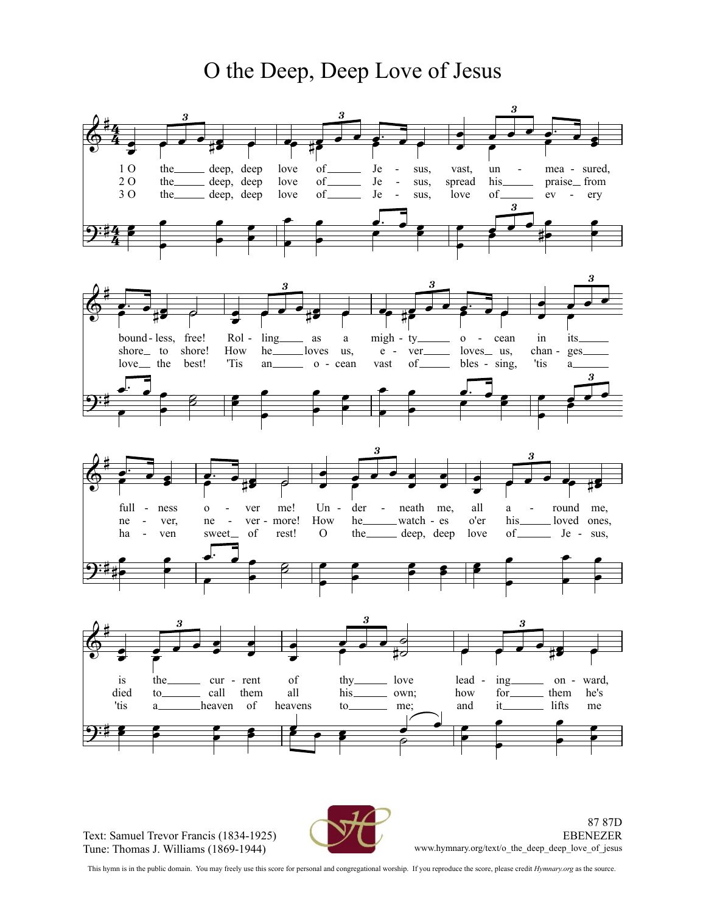O the Deep, Deep Love of Jesus



Text: Samuel Trevor Francis (1834-1925) Tune: Thomas J.Williams (1869-1944)



87 87D EBENEZER www.hymnary.org/text/o\_the\_deep\_deep\_love\_of\_jesus